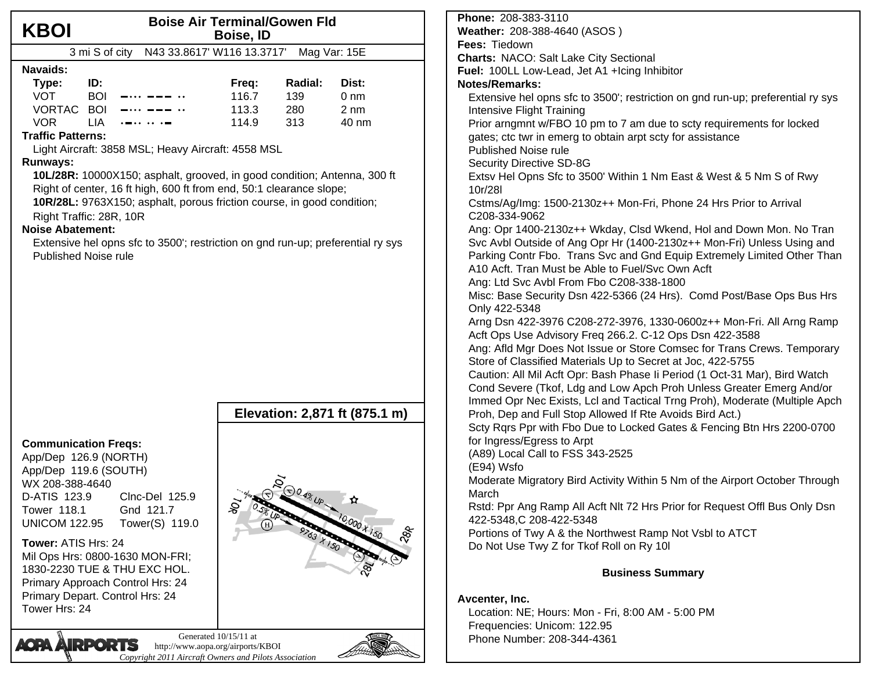| <b>Boise Air Terminal/Gowen Fld</b><br><b>KBOI</b><br><b>Boise, ID</b><br>N43 33.8617' W116 13.3717'<br>3 mi S of city<br>Mag Var: 15E        |                                                       |                     | Phone: 208-383-3110<br>Weather: 208-388-4640 (ASOS)<br>Fees: Tiedown<br><b>Charts: NACO: Salt Lake City Sectional</b> |                 |                  |       |                                               |
|-----------------------------------------------------------------------------------------------------------------------------------------------|-------------------------------------------------------|---------------------|-----------------------------------------------------------------------------------------------------------------------|-----------------|------------------|-------|-----------------------------------------------|
|                                                                                                                                               |                                                       |                     |                                                                                                                       | <b>Navaids:</b> |                  |       | Fuel: 100LL Low-Lead, Jet A1 +Icing Inhibitor |
|                                                                                                                                               |                                                       |                     |                                                                                                                       | Type:<br>ID:    | Radial:<br>Freq: | Dist: | <b>Notes/Remarks:</b>                         |
| <b>VOT</b><br><b>BOI</b>                                                                                                                      | 116.7<br>139                                          | 0 <sub>nm</sub>     | Extensive hel opns sfc to 3500'; restriction on gnd run-up; preferential ry sys                                       |                 |                  |       |                                               |
| VORTAC BOI                                                                                                                                    | 113.3<br>280                                          | $2 \text{ nm}$      | Intensive Flight Training                                                                                             |                 |                  |       |                                               |
| <b>VOR</b><br><b>LIA</b>                                                                                                                      | 114.9<br>313                                          | 40 nm               | Prior arngmnt w/FBO 10 pm to 7 am due to scty requirements for locked                                                 |                 |                  |       |                                               |
| <b>Traffic Patterns:</b>                                                                                                                      |                                                       |                     | gates; ctc twr in emerg to obtain arpt scty for assistance                                                            |                 |                  |       |                                               |
| Light Aircraft: 3858 MSL; Heavy Aircraft: 4558 MSL                                                                                            |                                                       |                     | Published Noise rule                                                                                                  |                 |                  |       |                                               |
| <b>Runways:</b>                                                                                                                               |                                                       |                     | <b>Security Directive SD-8G</b>                                                                                       |                 |                  |       |                                               |
| 10L/28R: 10000X150; asphalt, grooved, in good condition; Antenna, 300 ft                                                                      |                                                       |                     | Extsv Hel Opns Sfc to 3500' Within 1 Nm East & West & 5 Nm S of Rwy                                                   |                 |                  |       |                                               |
| Right of center, 16 ft high, 600 ft from end, 50:1 clearance slope;<br>10R/28L: 9763X150; asphalt, porous friction course, in good condition; |                                                       |                     | 10r/28l                                                                                                               |                 |                  |       |                                               |
|                                                                                                                                               |                                                       |                     | Cstms/Ag/Img: 1500-2130z++ Mon-Fri, Phone 24 Hrs Prior to Arrival                                                     |                 |                  |       |                                               |
| Right Traffic: 28R, 10R                                                                                                                       |                                                       |                     | C208-334-9062                                                                                                         |                 |                  |       |                                               |
| <b>Noise Abatement:</b>                                                                                                                       |                                                       |                     | Ang: Opr 1400-2130z++ Wkday, Clsd Wkend, Hol and Down Mon. No Tran                                                    |                 |                  |       |                                               |
| Extensive hel opns sfc to 3500'; restriction on gnd run-up; preferential ry sys<br><b>Published Noise rule</b>                                |                                                       |                     | Svc Avbl Outside of Ang Opr Hr (1400-2130z++ Mon-Fri) Unless Using and                                                |                 |                  |       |                                               |
|                                                                                                                                               |                                                       |                     | Parking Contr Fbo. Trans Svc and Gnd Equip Extremely Limited Other Than                                               |                 |                  |       |                                               |
|                                                                                                                                               |                                                       |                     | A10 Acft. Tran Must be Able to Fuel/Svc Own Acft                                                                      |                 |                  |       |                                               |
|                                                                                                                                               |                                                       |                     | Ang: Ltd Svc Avbl From Fbo C208-338-1800                                                                              |                 |                  |       |                                               |
|                                                                                                                                               |                                                       |                     | Misc: Base Security Dsn 422-5366 (24 Hrs). Comd Post/Base Ops Bus Hrs                                                 |                 |                  |       |                                               |
|                                                                                                                                               |                                                       |                     | Only 422-5348                                                                                                         |                 |                  |       |                                               |
|                                                                                                                                               |                                                       |                     | Arng Dsn 422-3976 C208-272-3976, 1330-0600z++ Mon-Fri. All Arng Ramp                                                  |                 |                  |       |                                               |
|                                                                                                                                               |                                                       |                     | Acft Ops Use Advisory Freq 266.2. C-12 Ops Dsn 422-3588                                                               |                 |                  |       |                                               |
|                                                                                                                                               |                                                       |                     | Ang: Afld Mgr Does Not Issue or Store Comsec for Trans Crews. Temporary                                               |                 |                  |       |                                               |
|                                                                                                                                               |                                                       |                     | Store of Classified Materials Up to Secret at Joc, 422-5755                                                           |                 |                  |       |                                               |
|                                                                                                                                               |                                                       |                     | Caution: All Mil Acft Opr: Bash Phase li Period (1 Oct-31 Mar), Bird Watch                                            |                 |                  |       |                                               |
|                                                                                                                                               |                                                       |                     | Cond Severe (Tkof, Ldg and Low Apch Proh Unless Greater Emerg And/or                                                  |                 |                  |       |                                               |
|                                                                                                                                               |                                                       |                     | Immed Opr Nec Exists, Lcl and Tactical Trng Proh), Moderate (Multiple Apch                                            |                 |                  |       |                                               |
|                                                                                                                                               | Elevation: 2,871 ft (875.1 m)                         |                     | Proh, Dep and Full Stop Allowed If Rte Avoids Bird Act.)                                                              |                 |                  |       |                                               |
|                                                                                                                                               |                                                       |                     | Scty Rqrs Ppr with Fbo Due to Locked Gates & Fencing Btn Hrs 2200-0700                                                |                 |                  |       |                                               |
| <b>Communication Freqs:</b>                                                                                                                   |                                                       |                     | for Ingress/Egress to Arpt                                                                                            |                 |                  |       |                                               |
| App/Dep 126.9 (NORTH)                                                                                                                         |                                                       |                     | (A89) Local Call to FSS 343-2525<br>(E94) Wsfo                                                                        |                 |                  |       |                                               |
| App/Dep 119.6 (SOUTH)                                                                                                                         |                                                       |                     |                                                                                                                       |                 |                  |       |                                               |
| WX 208-388-4640                                                                                                                               |                                                       |                     | Moderate Migratory Bird Activity Within 5 Nm of the Airport October Through<br>March                                  |                 |                  |       |                                               |
| D-ATIS 123.9<br>Clnc-Del 125.9                                                                                                                |                                                       |                     | Rstd: Ppr Ang Ramp All Acft Nlt 72 Hrs Prior for Request Offl Bus Only Dsn                                            |                 |                  |       |                                               |
| Tower 118.1<br>Gnd 121.7                                                                                                                      | ᠊᠋ᢦ<br><b>UP ST 03 X 150 MM</b>                       |                     | 422-5348, C 208-422-5348                                                                                              |                 |                  |       |                                               |
| <b>UNICOM 122.95</b><br>Tower(S) 119.0                                                                                                        |                                                       | $10,000 \times 150$ | Portions of Twy A & the Northwest Ramp Not Vsbl to ATCT                                                               |                 |                  |       |                                               |
| Tower: ATIS Hrs: 24                                                                                                                           |                                                       |                     | Do Not Use Twy Z for Tkof Roll on Ry 101                                                                              |                 |                  |       |                                               |
| Mil Ops Hrs: 0800-1630 MON-FRI;                                                                                                               |                                                       |                     |                                                                                                                       |                 |                  |       |                                               |
| 1830-2230 TUE & THU EXC HOL.                                                                                                                  |                                                       |                     | <b>Business Summary</b>                                                                                               |                 |                  |       |                                               |
| Primary Approach Control Hrs: 24                                                                                                              |                                                       |                     |                                                                                                                       |                 |                  |       |                                               |
| Primary Depart. Control Hrs: 24                                                                                                               |                                                       |                     | Avcenter, Inc.                                                                                                        |                 |                  |       |                                               |
| Tower Hrs: 24                                                                                                                                 |                                                       |                     | Location: NE; Hours: Mon - Fri, 8:00 AM - 5:00 PM                                                                     |                 |                  |       |                                               |
|                                                                                                                                               |                                                       |                     | Frequencies: Unicom: 122.95                                                                                           |                 |                  |       |                                               |
| <b>AOPA ÄIRPORTS</b>                                                                                                                          | Generated 10/15/11 at                                 |                     | Phone Number: 208-344-4361                                                                                            |                 |                  |       |                                               |
|                                                                                                                                               | http://www.aopa.org/airports/KBOI                     |                     |                                                                                                                       |                 |                  |       |                                               |
|                                                                                                                                               |                                                       |                     |                                                                                                                       |                 |                  |       |                                               |
|                                                                                                                                               | Copyright 2011 Aircraft Owners and Pilots Association |                     |                                                                                                                       |                 |                  |       |                                               |